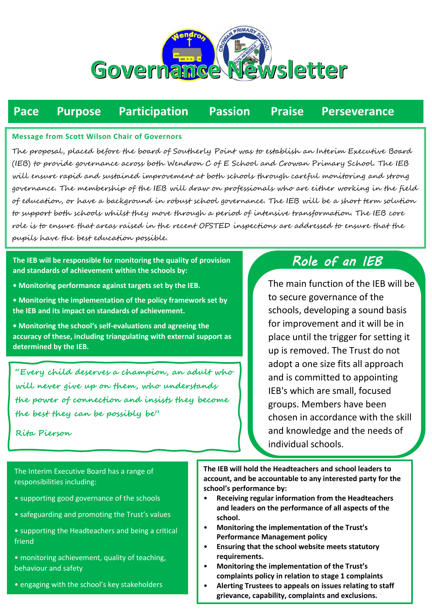

# **Pace Purpose Participation Passion Praise Perseverance**

#### **Message from Scott Wilson Chair of Governors**

The proposal, placed before the board of Southerly Point was to establish an Interim Executive Board (IEB) to provide governance across both Wendron C of E School and Crowan Primary School. The IEB will ensure rapid and sustained improvement at both schools through careful monitoring and strong governance. The membership of the IEB will draw on professionals who are either working in the field of education, or have a background in robust school governance. The IEB will be a short term solution to support both schools whilst they move through a period of intensive transformation. The IEB core role is to ensure that areas raised in the recent OFSTED inspections are addressed to ensure that the pupils have the best education possible.

**The IEB will be responsible for monitoring the quality of provision and standards of achievement within the schools by:** 

- **Monitoring performance against targets set by the IEB.**
- **Monitoring the implementation of the policy framework set by the IEB and its impact on standards of achievement.**

**• Monitoring the school's self-evaluations and agreeing the accuracy of these, including triangulating with external support as determined by the IEB.** 

**• Ensuring the school complies with statutory requirements.** 

**"Every child deserves a champion, an adult who • Providing robust challenge and support to the Headteacher and**  will never give up on them, who understands **the power of connection and insists they become • Monitoring and evaluating progress towards post-inspection or**  *the best they can be possibly be"* 

### Rita Pierson  $t_{\text{min}}$  for  $\rho$  for  $\theta$

undertaken by Governors • Ofsted Training

## *Role of an IEB*

The main function of the IEB will be to secure governance of the schools, developing a sound basis for improvement and it will be in place until the trigger for setting it up is removed. The Trust do not adopt a one size fits all approach and is committed to appointing IEB's which are small, focused groups. Members have been chosen in accordance with the skill and knowledge and the needs of individual schools.

The Interim Executive Board has a range of responsibilities including:

- supporting good governance of the schools
- safeguarding and promoting the Trust's values
- supporting the Headteachers and being a critical friend
- monitoring achievement, quality of teaching, behaviour and safety
- engaging with the school's key stakeholders

**The IEB will hold the Headteachers and school leaders to account, and be accountable to any interested party for the school's performance by:** 

- **Receiving regular information from the Headteachers and leaders on the performance of all aspects of the school.**
- **Monitoring the implementation of the Trust's Performance Management policy**
- **Ensuring that the school website meets statutory requirements.**
- **Monitoring the implementation of the Trust's complaints policy in relation to stage 1 complaints**
- **Alerting Trustees to appeals on issues relating to staff grievance, capability, complaints and exclusions.**